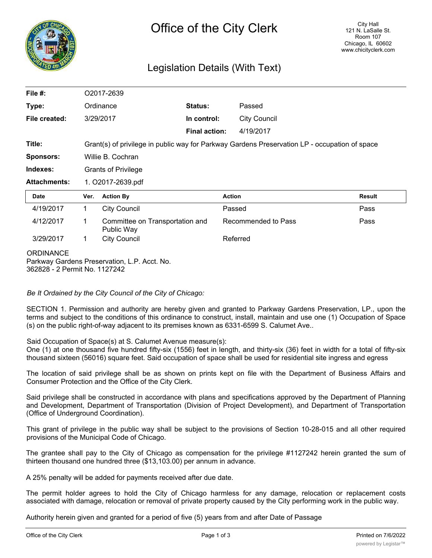

## Legislation Details (With Text)

| File $#$ :          | O2017-2639                                                                                    |                                               |                      |                     |               |
|---------------------|-----------------------------------------------------------------------------------------------|-----------------------------------------------|----------------------|---------------------|---------------|
| Type:               | Ordinance                                                                                     |                                               | Status:              | Passed              |               |
| File created:       |                                                                                               | 3/29/2017                                     | In control:          | <b>City Council</b> |               |
|                     |                                                                                               |                                               | <b>Final action:</b> | 4/19/2017           |               |
| Title:              | Grant(s) of privilege in public way for Parkway Gardens Preservation LP - occupation of space |                                               |                      |                     |               |
| <b>Sponsors:</b>    | Willie B. Cochran                                                                             |                                               |                      |                     |               |
| Indexes:            | <b>Grants of Privilege</b>                                                                    |                                               |                      |                     |               |
| <b>Attachments:</b> | 1. O2017-2639.pdf                                                                             |                                               |                      |                     |               |
| <b>Date</b>         | Ver.                                                                                          | <b>Action By</b>                              |                      | <b>Action</b>       | <b>Result</b> |
| 4/19/2017           | 1.                                                                                            | <b>City Council</b>                           |                      | Passed              | Pass          |
| 4/12/2017           | 1.                                                                                            | Committee on Transportation and<br>Public Way |                      | Recommended to Pass | Pass          |
| 3/29/2017           | $\mathbf 1$                                                                                   | <b>City Council</b>                           |                      | Referred            |               |
| <b>ORDINANCE</b>    |                                                                                               | Darkway Cardens Preservation   D. Acet. No.   |                      |                     |               |

Parkway Gardens Preservation, L.P. Acct. No. 362828 - 2 Permit No. 1127242

*Be It Ordained by the City Council of the City of Chicago:*

SECTION 1. Permission and authority are hereby given and granted to Parkway Gardens Preservation, LP., upon the terms and subject to the conditions of this ordinance to construct, install, maintain and use one (1) Occupation of Space (s) on the public right-of-way adjacent to its premises known as 6331-6599 S. Calumet Ave..

Said Occupation of Space(s) at S. Calumet Avenue measure(s):

One (1) at one thousand five hundred fifty-six (1556) feet in length, and thirty-six (36) feet in width for a total of fifty-six thousand sixteen (56016) square feet. Said occupation of space shall be used for residential site ingress and egress

The location of said privilege shall be as shown on prints kept on file with the Department of Business Affairs and Consumer Protection and the Office of the City Clerk.

Said privilege shall be constructed in accordance with plans and specifications approved by the Department of Planning and Development, Department of Transportation (Division of Project Development), and Department of Transportation (Office of Underground Coordination).

This grant of privilege in the public way shall be subject to the provisions of Section 10-28-015 and all other required provisions of the Municipal Code of Chicago.

The grantee shall pay to the City of Chicago as compensation for the privilege #1127242 herein granted the sum of thirteen thousand one hundred three (\$13,103.00) per annum in advance.

A 25% penalty will be added for payments received after due date.

The permit holder agrees to hold the City of Chicago harmless for any damage, relocation or replacement costs associated with damage, relocation or removal of private property caused by the City performing work in the public way.

Authority herein given and granted for a period of five (5) years from and after Date of Passage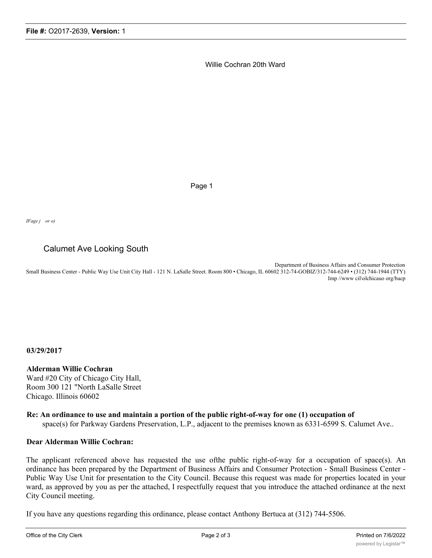Willie Cochran 20th Ward

Page 1

*IFage j or o)*

## Calumet Ave Looking South

Department of Business Affairs and Consumer Protection Small Business Center - Public Way Use Unit City Hall - 121 N. LaSalle Street. Room 800 • Chicago, IL 60602 312-74-GOBIZ/312-744-6249 • (312) 744-1944 (TTY) Imp //www cil\olchicauo org/bacp

**03/29/2017**

**Alderman Willie Cochran** Ward #20 City of Chicago City Hall, Room 300 121 "North LaSalle Street Chicago. Illinois 60602

**Re: An ordinance to use and maintain a portion of the public right-of-way for one (1) occupation of** space(s) for Parkway Gardens Preservation, L.P., adjacent to the premises known as 6331-6599 S. Calumet Ave..

## **Dear Alderman Willie Cochran:**

The applicant referenced above has requested the use ofthe public right-of-way for a occupation of space(s). An ordinance has been prepared by the Department of Business Affairs and Consumer Protection - Small Business Center - Public Way Use Unit for presentation to the City Council. Because this request was made for properties located in your ward, as approved by you as per the attached, I respectfully request that you introduce the attached ordinance at the next City Council meeting.

If you have any questions regarding this ordinance, please contact Anthony Bertuca at (312) 744-5506.